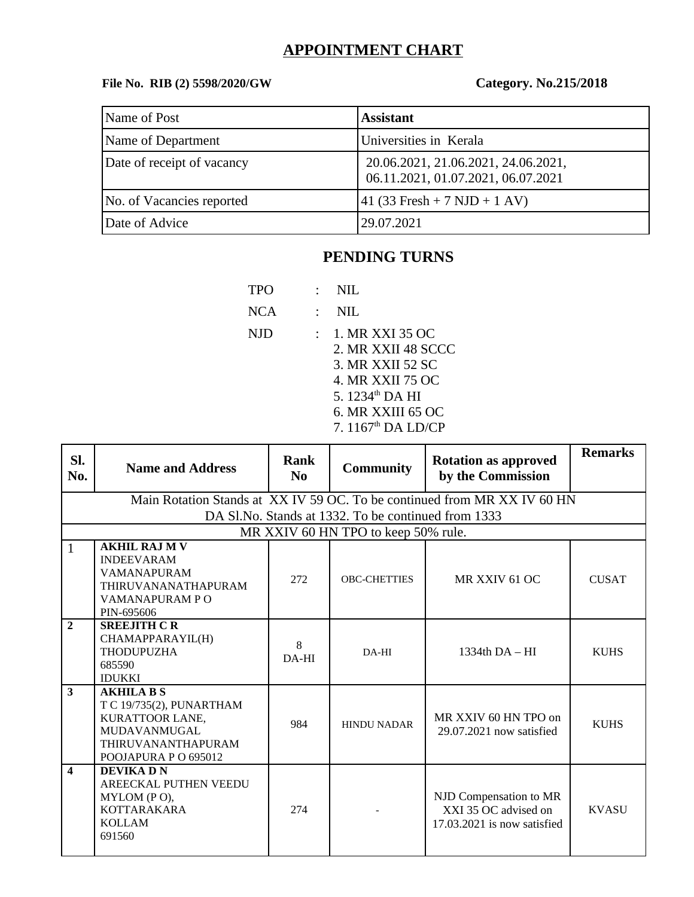# **APPOINTMENT CHART**

## **File No. RIB (2) 5598/2020/GW Category. No.215/2018**

| Name of Post               | <b>Assistant</b>                                                          |
|----------------------------|---------------------------------------------------------------------------|
| Name of Department         | Universities in Kerala                                                    |
| Date of receipt of vacancy | 20.06.2021, 21.06.2021, 24.06.2021,<br>06.11.2021, 01.07.2021, 06.07.2021 |
| No. of Vacancies reported  | $41$ (33 Fresh + 7 NJD + 1 AV)                                            |
| Date of Advice             | 29.07.2021                                                                |

# **PENDING TURNS**

| TPO        | NIL                                                                                                                                                       |
|------------|-----------------------------------------------------------------------------------------------------------------------------------------------------------|
| <b>NCA</b> | NIL.                                                                                                                                                      |
| NJD        | 1. MR XXI 35 OC<br>2. MR XXII 48 SCCC<br>3. MR XXII 52 SC<br>4. MR XXII 75 OC<br>5. 1234 <sup>th</sup> DA HI<br>6. MR XXIII 65 OC<br>7. $1167th$ DA LD/CP |
|            |                                                                                                                                                           |

| SI.<br>No.              | <b>Name and Address</b>                                                                                                               | Rank<br>N <sub>0</sub> | <b>Community</b>                                    | <b>Rotation as approved</b><br>by the Commission                              | <b>Remarks</b> |
|-------------------------|---------------------------------------------------------------------------------------------------------------------------------------|------------------------|-----------------------------------------------------|-------------------------------------------------------------------------------|----------------|
|                         |                                                                                                                                       |                        | DA Sl.No. Stands at 1332. To be continued from 1333 | Main Rotation Stands at XX IV 59 OC. To be continued from MR XX IV 60 HN      |                |
|                         |                                                                                                                                       |                        | MR XXIV 60 HN TPO to keep 50% rule.                 |                                                                               |                |
| $\mathbf{1}$            | <b>AKHIL RAJ M V</b><br><b>INDEEVARAM</b><br><b>VAMANAPURAM</b><br><b>THIRUVANANATHAPURAM</b><br>VAMANAPURAM PO<br>PIN-695606         | 272                    | <b>OBC-CHETTIES</b>                                 | MR XXIV 61 OC                                                                 | <b>CUSAT</b>   |
| $\overline{2}$          | <b>SREEJITH CR</b><br>CHAMAPPARAYIL(H)<br><b>THODUPUZHA</b><br>685590<br><b>IDUKKI</b>                                                | 8<br>$DA-HI$           | DA-HI                                               | $1334th$ DA $-$ HI                                                            | <b>KUHS</b>    |
| $\overline{\mathbf{3}}$ | <b>AKHILA B S</b><br>T C 19/735(2), PUNARTHAM<br>KURATTOOR LANE,<br><b>MUDAVANMUGAL</b><br>THIRUVANANTHAPURAM<br>POOJAPURA P O 695012 | 984                    | <b>HINDU NADAR</b>                                  | MR XXIV 60 HN TPO on<br>29.07.2021 now satisfied                              | <b>KUHS</b>    |
| $\overline{\mathbf{4}}$ | <b>DEVIKADN</b><br><b>AREECKAL PUTHEN VEEDU</b><br>MYLOM (PO),<br><b>KOTTARAKARA</b><br><b>KOLLAM</b><br>691560                       | 274                    |                                                     | NJD Compensation to MR<br>XXI 35 OC advised on<br>17.03.2021 is now satisfied | <b>KVASU</b>   |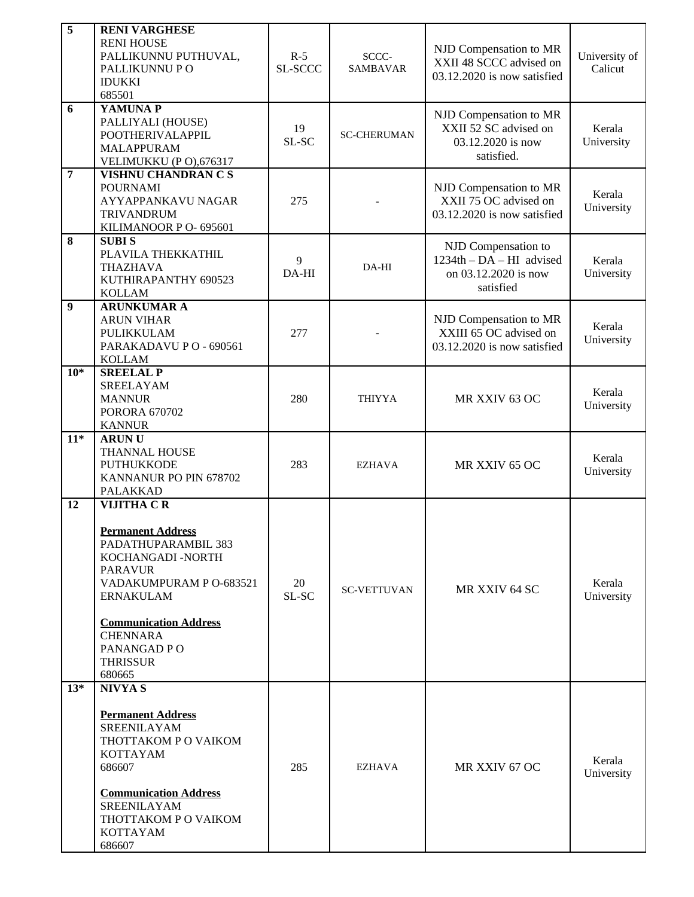| $\overline{5}$   | <b>RENI VARGHESE</b><br><b>RENI HOUSE</b><br>PALLIKUNNU PUTHUVAL,<br>PALLIKUNNU PO<br><b>IDUKKI</b><br>685501                                                                                                                                             | $R-5$<br>SL-SCCC | SCCC-<br><b>SAMBAVAR</b> | NJD Compensation to MR<br>XXII 48 SCCC advised on<br>03.12.2020 is now satisfied       | University of<br>Calicut |
|------------------|-----------------------------------------------------------------------------------------------------------------------------------------------------------------------------------------------------------------------------------------------------------|------------------|--------------------------|----------------------------------------------------------------------------------------|--------------------------|
| 6                | YAMUNA P<br>PALLIYALI (HOUSE)<br>POOTHERIVALAPPIL<br><b>MALAPPURAM</b><br>VELIMUKKU (PO),676317                                                                                                                                                           | 19<br>SL-SC      | <b>SC-CHERUMAN</b>       | NJD Compensation to MR<br>XXII 52 SC advised on<br>03.12.2020 is now<br>satisfied.     | Kerala<br>University     |
| $\overline{7}$   | <b>VISHNU CHANDRAN C S</b><br><b>POURNAMI</b><br>AYYAPPANKAVU NAGAR<br><b>TRIVANDRUM</b><br>KILIMANOOR P O- 695601                                                                                                                                        | 275              |                          | NJD Compensation to MR<br>XXII 75 OC advised on<br>03.12.2020 is now satisfied         | Kerala<br>University     |
| $\bf{8}$         | <b>SUBIS</b><br>PLAVILA THEKKATHIL<br><b>THAZHAVA</b><br>KUTHIRAPANTHY 690523<br><b>KOLLAM</b>                                                                                                                                                            | 9<br>DA-HI       | DA-HI                    | NJD Compensation to<br>$1234th - DA - HI$ advised<br>on 03.12.2020 is now<br>satisfied | Kerala<br>University     |
| $\boldsymbol{9}$ | <b>ARUNKUMAR A</b><br><b>ARUN VIHAR</b><br>PULIKKULAM<br>PARAKADAVU PO-690561<br><b>KOLLAM</b>                                                                                                                                                            | 277              |                          | NJD Compensation to MR<br>XXIII 65 OC advised on<br>03.12.2020 is now satisfied        | Kerala<br>University     |
| $10*$            | <b>SREELAL P</b><br><b>SREELAYAM</b><br><b>MANNUR</b><br><b>PORORA 670702</b><br><b>KANNUR</b>                                                                                                                                                            | 280              | <b>THIYYA</b>            | MR XXIV 63 OC                                                                          | Kerala<br>University     |
| $11*$            | <b>ARUNU</b><br>THANNAL HOUSE<br><b>PUTHUKKODE</b><br>KANNANUR PO PIN 678702<br><b>PALAKKAD</b>                                                                                                                                                           | 283              | <b>EZHAVA</b>            | MR XXIV 65 OC                                                                          | Kerala<br>University     |
| 12               | <b>VIJITHA CR</b><br><b>Permanent Address</b><br>PADATHUPARAMBIL 383<br>KOCHANGADI -NORTH<br><b>PARAVUR</b><br>VADAKUMPURAM P O-683521<br><b>ERNAKULAM</b><br><b>Communication Address</b><br><b>CHENNARA</b><br>PANANGAD PO<br><b>THRISSUR</b><br>680665 | 20<br>SL-SC      | <b>SC-VETTUVAN</b>       | MR XXIV 64 SC                                                                          | Kerala<br>University     |
| $13*$            | <b>NIVYA S</b><br><b>Permanent Address</b><br>SREENILAYAM<br>THOTTAKOM P O VAIKOM<br><b>KOTTAYAM</b><br>686607<br>285<br><b>Communication Address</b><br>SREENILAYAM<br>THOTTAKOM P O VAIKOM<br>KOTTAYAM<br>686607                                        |                  | <b>EZHAVA</b>            | MR XXIV 67 OC                                                                          | Kerala<br>University     |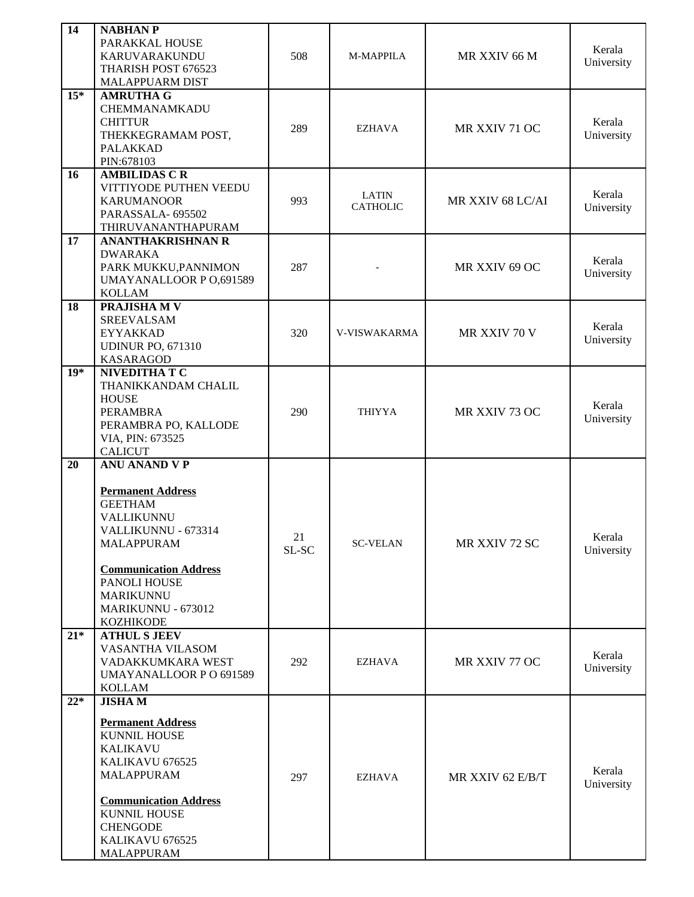| 14    | <b>NABHAN P</b><br>PARAKKAL HOUSE<br>KARUVARAKUNDU<br>THARISH POST 676523<br>MALAPPUARM DIST                                                                                                                                        | 508         | M-MAPPILA                       | MR XXIV 66 M     | Kerala<br>University |
|-------|-------------------------------------------------------------------------------------------------------------------------------------------------------------------------------------------------------------------------------------|-------------|---------------------------------|------------------|----------------------|
| $15*$ | <b>AMRUTHA G</b><br>CHEMMANAMKADU<br><b>CHITTUR</b><br>THEKKEGRAMAM POST,<br><b>PALAKKAD</b><br>PIN:678103                                                                                                                          | 289         | <b>EZHAVA</b>                   | MR XXIV 71 OC    | Kerala<br>University |
| 16    | <b>AMBILIDAS C R</b><br>VITTIYODE PUTHEN VEEDU<br><b>KARUMANOOR</b><br>PARASSALA- 695502<br>THIRUVANANTHAPURAM                                                                                                                      | 993         | <b>LATIN</b><br><b>CATHOLIC</b> | MR XXIV 68 LC/AI | Kerala<br>University |
| 17    | <b>ANANTHAKRISHNAN R</b><br><b>DWARAKA</b><br>PARK MUKKU, PANNIMON<br><b>UMAYANALLOOR P O,691589</b><br><b>KOLLAM</b>                                                                                                               | 287         |                                 | MR XXIV 69 OC    | Kerala<br>University |
| 18    | PRAJISHA M V<br><b>SREEVALSAM</b><br><b>EYYAKKAD</b><br><b>UDINUR PO, 671310</b><br><b>KASARAGOD</b>                                                                                                                                | 320         | V-VISWAKARMA                    | MR XXIV 70 V     | Kerala<br>University |
| $19*$ | NIVEDITHA T C<br>THANIKKANDAM CHALIL<br><b>HOUSE</b><br><b>PERAMBRA</b><br>PERAMBRA PO, KALLODE<br>VIA, PIN: 673525<br><b>CALICUT</b>                                                                                               | 290         | <b>THIYYA</b>                   | MR XXIV 73 OC    | Kerala<br>University |
| 20    | <b>ANU ANAND V P</b><br><b>Permanent Address</b><br><b>GEETHAM</b><br>VALLIKUNNU<br>VALLIKUNNU - 673314<br>MALAPPURAM<br><b>Communication Address</b><br>PANOLI HOUSE<br><b>MARIKUNNU</b><br>MARIKUNNU - 673012<br><b>KOZHIKODE</b> | 21<br>SL-SC | <b>SC-VELAN</b>                 | MR XXIV 72 SC    | Kerala<br>University |
| $21*$ | <b>ATHUL S JEEV</b><br>VASANTHA VILASOM<br>VADAKKUMKARA WEST<br><b>UMAYANALLOOR P O 691589</b><br>KOLLAM                                                                                                                            | 292         | <b>EZHAVA</b>                   | MR XXIV 77 OC    | Kerala<br>University |
| $22*$ | <b>JISHAM</b><br><b>Permanent Address</b><br><b>KUNNIL HOUSE</b><br><b>KALIKAVU</b><br>KALIKAVU 676525<br>MALAPPURAM<br><b>Communication Address</b><br><b>KUNNIL HOUSE</b><br><b>CHENGODE</b><br>KALIKAVU 676525<br>MALAPPURAM     | 297         | EZHAVA                          | MR XXIV 62 E/B/T | Kerala<br>University |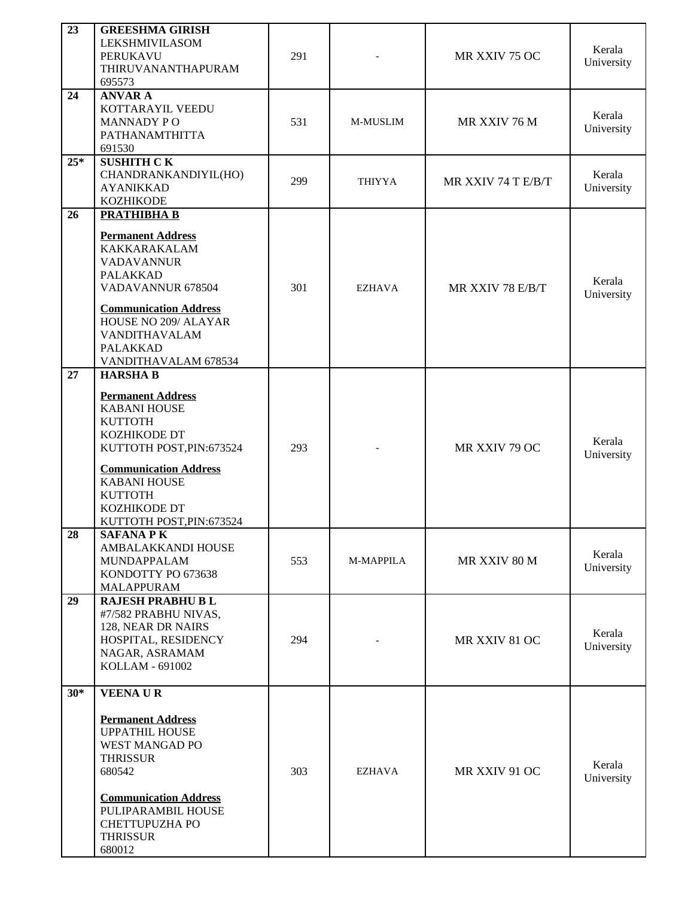| 23    | <b>GREESHMA GIRISH</b><br>LEKSHMIVILASOM<br>PERUKAVU<br>THIRUVANANTHAPURAM<br>695573                                                                                                                                                                   | 291 |               | MR XXIV 75 OC      | Kerala<br>University |
|-------|--------------------------------------------------------------------------------------------------------------------------------------------------------------------------------------------------------------------------------------------------------|-----|---------------|--------------------|----------------------|
| 24    | <b>ANVAR A</b><br>KOTTARAYIL VEEDU<br><b>MANNADY PO</b><br>PATHANAMTHITTA<br>691530                                                                                                                                                                    | 531 | M-MUSLIM      | MR XXIV 76 M       | Kerala<br>University |
| $25*$ | <b>SUSHITH CK</b><br>CHANDRANKANDIYIL(HO)<br><b>AYANIKKAD</b><br><b>KOZHIKODE</b>                                                                                                                                                                      | 299 | <b>THIYYA</b> | MR XXIV 74 T E/B/T | Kerala<br>University |
| 26    | <b>PRATHIBHA B</b><br><b>Permanent Address</b><br><b>KAKKARAKALAM</b><br><b>VADAVANNUR</b><br><b>PALAKKAD</b><br>VADAVANNUR 678504<br><b>Communication Address</b><br>HOUSE NO 209/ ALAYAR<br>VANDITHAVALAM<br><b>PALAKKAD</b><br>VANDITHAVALAM 678534 | 301 | <b>EZHAVA</b> | MR XXIV 78 E/B/T   | Kerala<br>University |
| 27    | <b>HARSHAB</b><br><b>Permanent Address</b><br><b>KABANI HOUSE</b><br><b>KUTTOTH</b><br>KOZHIKODE DT<br>KUTTOTH POST, PIN: 673524<br><b>Communication Address</b><br><b>KABANI HOUSE</b><br><b>KUTTOTH</b><br>KOZHIKODE DT<br>KUTTOTH POST, PIN: 673524 | 293 |               | MR XXIV 79 OC      | Kerala<br>University |
| 28    | <b>SAFANA PK</b><br>AMBALAKKANDI HOUSE<br>MUNDAPPALAM<br>KONDOTTY PO 673638<br>MALAPPURAM                                                                                                                                                              | 553 | M-MAPPILA     | MR XXIV 80 M       | Kerala<br>University |
| 29    | <b>RAJESH PRABHU B L</b><br>#7/582 PRABHU NIVAS,<br>128, NEAR DR NAIRS<br>HOSPITAL, RESIDENCY<br>NAGAR, ASRAMAM<br>KOLLAM - 691002                                                                                                                     | 294 |               | MR XXIV 81 OC      | Kerala<br>University |
| $30*$ | <b>VEENAUR</b><br><b>Permanent Address</b><br><b>UPPATHIL HOUSE</b><br>WEST MANGAD PO<br><b>THRISSUR</b><br>680542<br><b>Communication Address</b><br>PULIPARAMBIL HOUSE<br>CHETTUPUZHA PO<br><b>THRISSUR</b><br>680012                                | 303 | <b>EZHAVA</b> | MR XXIV 91 OC      | Kerala<br>University |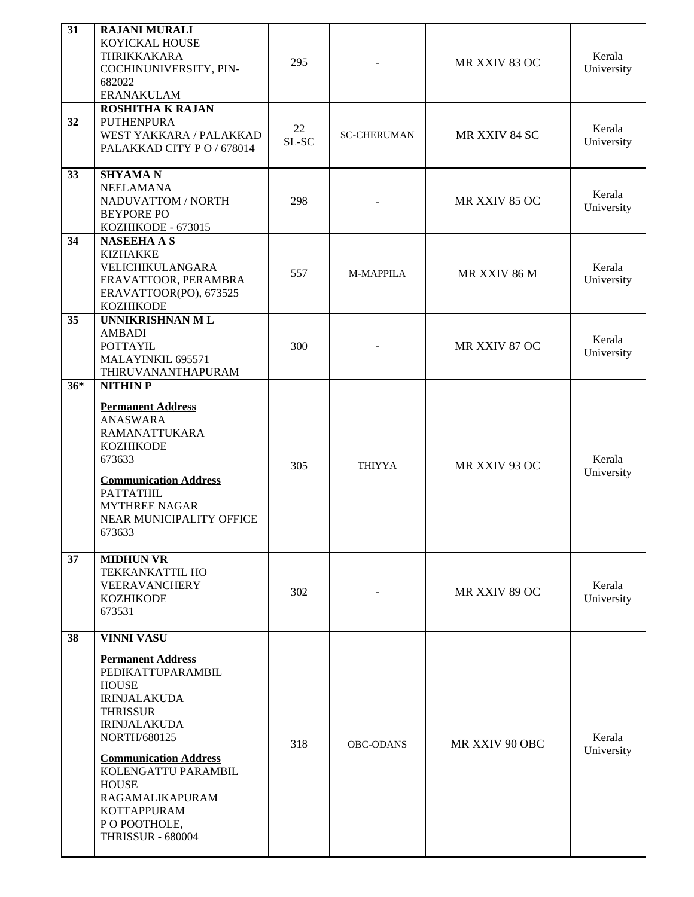| 31    | <b>RAJANI MURALI</b><br>KOYICKAL HOUSE<br>THRIKKAKARA<br>COCHINUNIVERSITY, PIN-<br>682022<br><b>ERANAKULAM</b>                                                                                                                                                                                                                          | 295         | MR XXIV 83 OC      |                | Kerala<br>University |
|-------|-----------------------------------------------------------------------------------------------------------------------------------------------------------------------------------------------------------------------------------------------------------------------------------------------------------------------------------------|-------------|--------------------|----------------|----------------------|
| 32    | <b>ROSHITHA K RAJAN</b><br><b>PUTHENPURA</b><br>WEST YAKKARA / PALAKKAD<br>PALAKKAD CITY PO / 678014                                                                                                                                                                                                                                    | 22<br>SL-SC | <b>SC-CHERUMAN</b> | MR XXIV 84 SC  | Kerala<br>University |
| 33    | <b>SHYAMAN</b><br>NEELAMANA<br>NADUVATTOM / NORTH<br><b>BEYPORE PO</b><br>KOZHIKODE - 673015                                                                                                                                                                                                                                            | 298         |                    | MR XXIV 85 OC  | Kerala<br>University |
| 34    | <b>NASEEHA A S</b><br><b>KIZHAKKE</b><br>VELICHIKULANGARA<br>ERAVATTOOR, PERAMBRA<br>ERAVATTOOR(PO), 673525<br><b>KOZHIKODE</b>                                                                                                                                                                                                         | 557         | M-MAPPILA          | MR XXIV 86 M   | Kerala<br>University |
| 35    | UNNIKRISHNAN ML<br><b>AMBADI</b><br><b>POTTAYIL</b><br>MALAYINKIL 695571<br>THIRUVANANTHAPURAM                                                                                                                                                                                                                                          | 300         |                    | MR XXIV 87 OC  | Kerala<br>University |
| $36*$ | <b>NITHIN P</b><br><b>Permanent Address</b><br><b>ANASWARA</b><br><b>RAMANATTUKARA</b><br><b>KOZHIKODE</b><br>673633<br><b>Communication Address</b><br><b>PATTATHIL</b><br><b>MYTHREE NAGAR</b><br>NEAR MUNICIPALITY OFFICE<br>673633                                                                                                  | 305         | <b>THIYYA</b>      | MR XXIV 93 OC  | Kerala<br>University |
| 37    | <b>MIDHUN VR</b><br><b>TEKKANKATTIL HO</b><br>VEERAVANCHERY<br><b>KOZHIKODE</b><br>673531                                                                                                                                                                                                                                               | 302         |                    | MR XXIV 89 OC  | Kerala<br>University |
| 38    | <b>VINNI VASU</b><br><b>Permanent Address</b><br>PEDIKATTUPARAMBIL<br><b>HOUSE</b><br><b>IRINJALAKUDA</b><br><b>THRISSUR</b><br><b>IRINJALAKUDA</b><br><b>NORTH/680125</b><br><b>Communication Address</b><br>KOLENGATTU PARAMBIL<br><b>HOUSE</b><br>RAGAMALIKAPURAM<br><b>KOTTAPPURAM</b><br>P O POOTHOLE,<br><b>THRISSUR - 680004</b> | 318         | <b>OBC-ODANS</b>   | MR XXIV 90 OBC | Kerala<br>University |